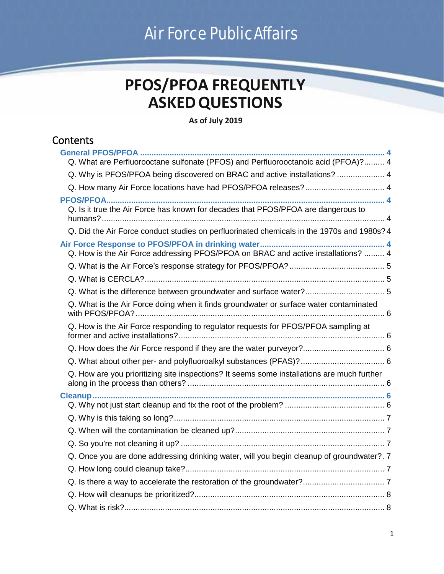# Air Force PublicAffairs

## **PFOS/PFOA FREQUENTLY ASKEDQUESTIONS**

## **As of July 2019**

## **Contents**

| Q. What are Perfluorooctane sulfonate (PFOS) and Perfluorooctanoic acid (PFOA)? 4          |  |
|--------------------------------------------------------------------------------------------|--|
| Q. Why is PFOS/PFOA being discovered on BRAC and active installations?  4                  |  |
| Q. How many Air Force locations have had PFOS/PFOA releases?  4                            |  |
| Q. Is it true the Air Force has known for decades that PFOS/PFOA are dangerous to          |  |
| Q. Did the Air Force conduct studies on perfluorinated chemicals in the 1970s and 1980s? 4 |  |
| Q. How is the Air Force addressing PFOS/PFOA on BRAC and active installations?  4          |  |
|                                                                                            |  |
|                                                                                            |  |
|                                                                                            |  |
| Q. What is the Air Force doing when it finds groundwater or surface water contaminated     |  |
| Q. How is the Air Force responding to regulator requests for PFOS/PFOA sampling at         |  |
|                                                                                            |  |
|                                                                                            |  |
| Q. How are you prioritizing site inspections? It seems some installations are much further |  |
|                                                                                            |  |
|                                                                                            |  |
|                                                                                            |  |
|                                                                                            |  |
| Q. Once you are done addressing drinking water, will you begin cleanup of groundwater?. 7  |  |
|                                                                                            |  |
|                                                                                            |  |
|                                                                                            |  |
|                                                                                            |  |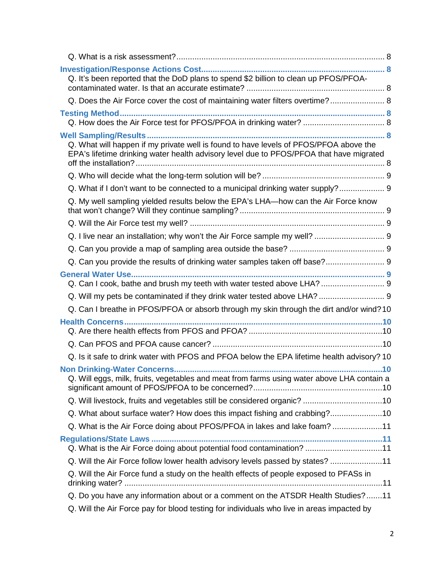| Q. It's been reported that the DoD plans to spend \$2 billion to clean up PFOS/PFOA-                                                                                             |  |
|----------------------------------------------------------------------------------------------------------------------------------------------------------------------------------|--|
| Q. Does the Air Force cover the cost of maintaining water filters overtime? 8                                                                                                    |  |
|                                                                                                                                                                                  |  |
| Q. What will happen if my private well is found to have levels of PFOS/PFOA above the<br>EPA's lifetime drinking water health advisory level due to PFOS/PFOA that have migrated |  |
|                                                                                                                                                                                  |  |
| Q. What if I don't want to be connected to a municipal drinking water supply? 9                                                                                                  |  |
| Q. My well sampling yielded results below the EPA's LHA—how can the Air Force know                                                                                               |  |
|                                                                                                                                                                                  |  |
|                                                                                                                                                                                  |  |
|                                                                                                                                                                                  |  |
| Q. Can you provide the results of drinking water samples taken off base? 9                                                                                                       |  |
| Q. Can I cook, bathe and brush my teeth with water tested above LHA?  9                                                                                                          |  |
| Q. Will my pets be contaminated if they drink water tested above LHA?  9                                                                                                         |  |
| Q. Can I breathe in PFOS/PFOA or absorb through my skin through the dirt and/or wind? 10                                                                                         |  |
|                                                                                                                                                                                  |  |
|                                                                                                                                                                                  |  |
| Q. Is it safe to drink water with PFOS and PFOA below the EPA lifetime health advisory? 10                                                                                       |  |
| Q. Will eggs, milk, fruits, vegetables and meat from farms using water above LHA contain a                                                                                       |  |
|                                                                                                                                                                                  |  |
| Q. What about surface water? How does this impact fishing and crabbing?10                                                                                                        |  |
| Q. What is the Air Force doing about PFOS/PFOA in lakes and lake foam? 11                                                                                                        |  |
| Q. What is the Air Force doing about potential food contamination? 11                                                                                                            |  |
| Q. Will the Air Force follow lower health advisory levels passed by states? 11                                                                                                   |  |
| Q. Will the Air Force fund a study on the health effects of people exposed to PFASs in                                                                                           |  |
| Q. Do you have any information about or a comment on the ATSDR Health Studies?11                                                                                                 |  |
| Q. Will the Air Force pay for blood testing for individuals who live in areas impacted by                                                                                        |  |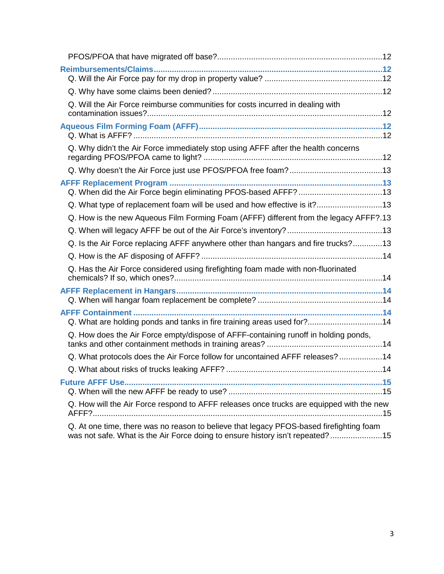| Q. Will the Air Force reimburse communities for costs incurred in dealing with                                                                                           |  |
|--------------------------------------------------------------------------------------------------------------------------------------------------------------------------|--|
|                                                                                                                                                                          |  |
| Q. Why didn't the Air Force immediately stop using AFFF after the health concerns                                                                                        |  |
|                                                                                                                                                                          |  |
|                                                                                                                                                                          |  |
| Q. What type of replacement foam will be used and how effective is it?13                                                                                                 |  |
| Q. How is the new Aqueous Film Forming Foam (AFFF) different from the legacy AFFF?.13                                                                                    |  |
|                                                                                                                                                                          |  |
| Q. Is the Air Force replacing AFFF anywhere other than hangars and fire trucks?13                                                                                        |  |
|                                                                                                                                                                          |  |
| Q. Has the Air Force considered using firefighting foam made with non-fluorinated                                                                                        |  |
|                                                                                                                                                                          |  |
| Q. What are holding ponds and tanks in fire training areas used for?14                                                                                                   |  |
| Q. How does the Air Force empty/dispose of AFFF-containing runoff in holding ponds,                                                                                      |  |
| Q. What protocols does the Air Force follow for uncontained AFFF releases?14                                                                                             |  |
|                                                                                                                                                                          |  |
|                                                                                                                                                                          |  |
| Q. How will the Air Force respond to AFFF releases once trucks are equipped with the new                                                                                 |  |
| Q. At one time, there was no reason to believe that legacy PFOS-based firefighting foam<br>was not safe. What is the Air Force doing to ensure history isn't repeated?15 |  |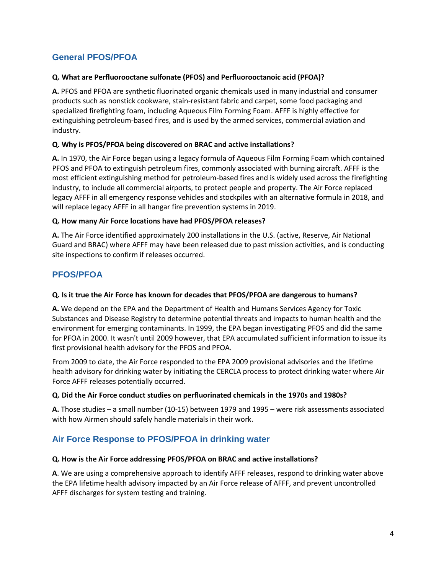## <span id="page-3-0"></span>**General PFOS/PFOA**

## <span id="page-3-1"></span>**Q. What are Perfluorooctane sulfonate (PFOS) and Perfluorooctanoic acid (PFOA)?**

**A.** PFOS and PFOA are synthetic fluorinated organic chemicals used in many industrial and consumer products such as nonstick cookware, stain-resistant fabric and carpet, some food packaging and specialized firefighting foam, including Aqueous Film Forming Foam. AFFF is highly effective for extinguishing petroleum-based fires, and is used by the armed services, commercial aviation and industry.

## <span id="page-3-2"></span>**Q. Why is PFOS/PFOA being discovered on BRAC and active installations?**

**A.** In 1970, the Air Force began using a legacy formula of Aqueous Film Forming Foam which contained PFOS and PFOA to extinguish petroleum fires, commonly associated with burning aircraft. AFFF is the most efficient extinguishing method for petroleum-based fires and is widely used across the firefighting industry, to include all commercial airports, to protect people and property. The Air Force replaced legacy AFFF in all emergency response vehicles and stockpiles with an alternative formula in 2018, and will replace legacy AFFF in all hangar fire prevention systems in 2019.

## <span id="page-3-3"></span>**Q. How many Air Force locations have had PFOS/PFOA releases?**

**A.** The Air Force identified approximately 200 installations in the U.S. (active, Reserve, Air National Guard and BRAC) where AFFF may have been released due to past mission activities, and is conducting site inspections to confirm if releases occurred.

## <span id="page-3-4"></span>**PFOS/PFOA**

## <span id="page-3-5"></span>**Q. Is it true the Air Force has known for decades that PFOS/PFOA are dangerous to humans?**

**A.** We depend on the EPA and the Department of Health and Humans Services Agency for Toxic Substances and Disease Registry to determine potential threats and impacts to human health and the environment for emerging contaminants. In 1999, the EPA began investigating PFOS and did the same for PFOA in 2000. It wasn't until 2009 however, that EPA accumulated sufficient information to issue its first provisional health advisory for the PFOS and PFOA.

From 2009 to date, the Air Force responded to the EPA 2009 provisional advisories and the lifetime health advisory for drinking water by initiating the CERCLA process to protect drinking water where Air Force AFFF releases potentially occurred.

#### <span id="page-3-6"></span>**Q. Did the Air Force conduct studies on perfluorinated chemicals in the 1970s and 1980s?**

**A.** Those studies – a small number (10-15) between 1979 and 1995 – were risk assessments associated with how Airmen should safely handle materials in their work.

## <span id="page-3-7"></span>**Air Force Response to PFOS/PFOA in drinking water**

#### <span id="page-3-8"></span>**Q. How is the Air Force addressing PFOS/PFOA on BRAC and active installations?**

<span id="page-3-9"></span>**A**. We are using a comprehensive approach to identify AFFF releases, respond to drinking water above the EPA lifetime health advisory impacted by an Air Force release of AFFF, and prevent uncontrolled AFFF discharges for system testing and training.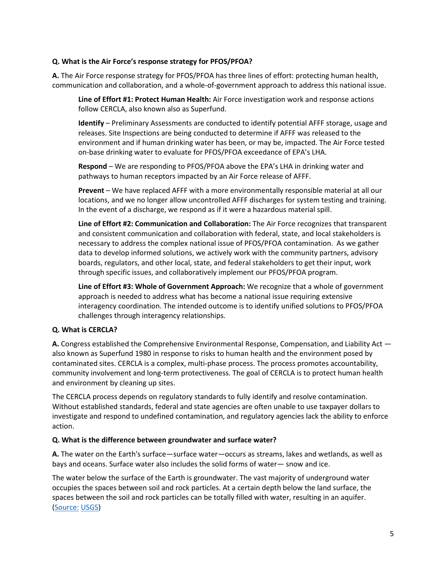## **Q. What is the Air Force's response strategy for PFOS/PFOA?**

**A.** The Air Force response strategy for PFOS/PFOA has three lines of effort: protecting human health, communication and collaboration, and a whole-of-government approach to address this national issue.

**Line of Effort #1: Protect Human Health:** Air Force investigation work and response actions follow CERCLA, also known also as Superfund.

**Identify** – Preliminary Assessments are conducted to identify potential AFFF storage, usage and releases. Site Inspections are being conducted to determine if AFFF was released to the environment and if human drinking water has been, or may be, impacted. The Air Force tested on-base drinking water to evaluate for PFOS/PFOA exceedance of EPA's LHA.

**Respond** – We are responding to PFOS/PFOA above the EPA's LHA in drinking water and pathways to human receptors impacted by an Air Force release of AFFF.

**Prevent** – We have replaced AFFF with a more environmentally responsible material at all our locations, and we no longer allow uncontrolled AFFF discharges for system testing and training. In the event of a discharge, we respond as if it were a hazardous material spill.

**Line of Effort #2: Communication and Collaboration:** The Air Force recognizes that transparent and consistent communication and collaboration with federal, state, and local stakeholders is necessary to address the complex national issue of PFOS/PFOA contamination. As we gather data to develop informed solutions, we actively work with the community partners, advisory boards, regulators, and other local, state, and federal stakeholders to get their input, work through specific issues, and collaboratively implement our PFOS/PFOA program.

**Line of Effort #3: Whole of Government Approach:** We recognize that a whole of government approach is needed to address what has become a national issue requiring extensive interagency coordination. The intended outcome is to identify unified solutions to PFOS/PFOA challenges through interagency relationships.

#### <span id="page-4-0"></span>**Q. What is CERCLA?**

**A.** Congress established the Comprehensive Environmental Response, Compensation, and Liability Act also known as Superfund 1980 in response to risks to human health and the environment posed by contaminated sites. CERCLA is a complex, multi-phase process. The process promotes accountability, community involvement and long-term protectiveness. The goal of CERCLA is to protect human health and environment by cleaning up sites.

The CERCLA process depends on regulatory standards to fully identify and resolve contamination. Without established standards, federal and state agencies are often unable to use taxpayer dollars to investigate and respond to undefined contamination, and regulatory agencies lack the ability to enforce action.

#### <span id="page-4-1"></span>**Q. What is the difference between groundwater and surface water?**

**A.** The water on the Earth's surface—surface water—occurs as streams, lakes and wetlands, as well as bays and oceans. Surface water also includes the solid forms of water— snow and ice.

The water below the surface of the Earth is groundwater. The vast majority of underground water occupies the spaces between soil and rock particles. At a certain depth below the land surface, the spaces between the soil and rock particles can be totally filled with water, resulting in an aquifer. [\(Source:](https://water.usgs.gov/) [USGS\)](https://water.usgs.gov/)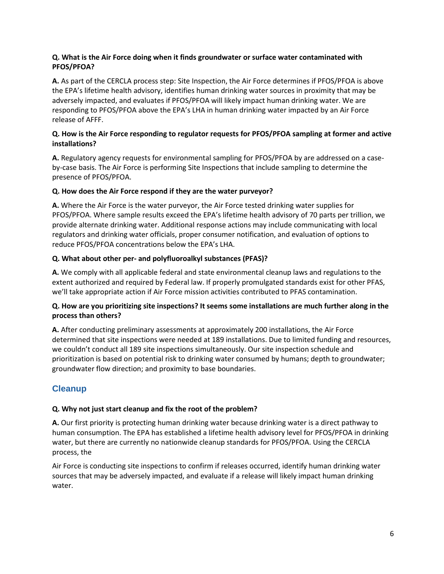## <span id="page-5-0"></span>**Q. What is the Air Force doing when it finds groundwater or surface water contaminated with PFOS/PFOA?**

**A.** As part of the CERCLA process step: Site Inspection, the Air Force determines if PFOS/PFOA is above the EPA's lifetime health advisory, identifies human drinking water sources in proximity that may be adversely impacted, and evaluates if PFOS/PFOA will likely impact human drinking water. We are responding to PFOS/PFOA above the EPA's LHA in human drinking water impacted by an Air Force release of AFFF.

## <span id="page-5-1"></span>**Q. How is the Air Force responding to regulator requests for PFOS/PFOA sampling at former and active installations?**

**A.** Regulatory agency requests for environmental sampling for PFOS/PFOA by are addressed on a caseby-case basis. The Air Force is performing Site Inspections that include sampling to determine the presence of PFOS/PFOA.

## <span id="page-5-2"></span>**Q. How does the Air Force respond if they are the water purveyor?**

**A.** Where the Air Force is the water purveyor, the Air Force tested drinking water supplies for PFOS/PFOA. Where sample results exceed the EPA's lifetime health advisory of 70 parts per trillion, we provide alternate drinking water. Additional response actions may include communicating with local regulators and drinking water officials, proper consumer notification, and evaluation of options to reduce PFOS/PFOA concentrations below the EPA's LHA.

## <span id="page-5-3"></span>**Q. What about other per- and polyfluoroalkyl substances (PFAS)?**

**A.** We comply with all applicable federal and state environmental cleanup laws and regulations to the extent authorized and required by Federal law. If properly promulgated standards exist for other PFAS, we'll take appropriate action if Air Force mission activities contributed to PFAS contamination.

## <span id="page-5-4"></span>**Q. How are you prioritizing site inspections? It seems some installations are much further along in the process than others?**

**A.** After conducting preliminary assessments at approximately 200 installations, the Air Force determined that site inspections were needed at 189 installations. Due to limited funding and resources, we couldn't conduct all 189 site inspections simultaneously. Our site inspection schedule and prioritization is based on potential risk to drinking water consumed by humans; depth to groundwater; groundwater flow direction; and proximity to base boundaries.

## <span id="page-5-5"></span>**Cleanup**

## <span id="page-5-6"></span>**Q. Why not just start cleanup and fix the root of the problem?**

**A.** Our first priority is protecting human drinking water because drinking water is a direct pathway to human consumption. The EPA has established a lifetime health advisory level for PFOS/PFOA in drinking water, but there are currently no nationwide cleanup standards for PFOS/PFOA. Using the CERCLA process, the

<span id="page-5-7"></span>Air Force is conducting site inspections to confirm if releases occurred, identify human drinking water sources that may be adversely impacted, and evaluate if a release will likely impact human drinking water.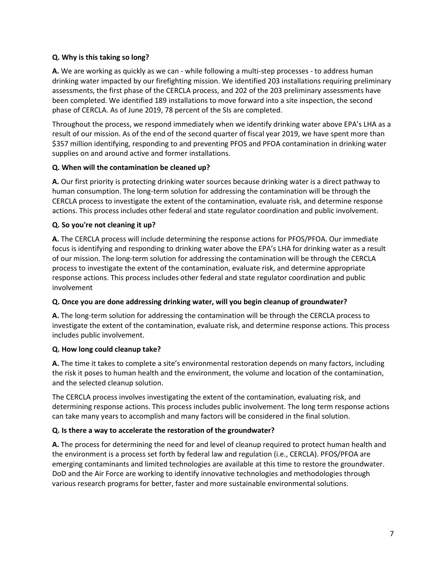## **Q. Why is this taking so long?**

**A.** We are working as quickly as we can - while following a multi-step processes - to address human drinking water impacted by our firefighting mission. We identified 203 installations requiring preliminary assessments, the first phase of the CERCLA process, and 202 of the 203 preliminary assessments have been completed. We identified 189 installations to move forward into a site inspection, the second phase of CERCLA. As of June 2019, 78 percent of the SIs are completed.

Throughout the process, we respond immediately when we identify drinking water above EPA's LHA as a result of our mission. As of the end of the second quarter of fiscal year 2019, we have spent more than \$357 million identifying, responding to and preventing PFOS and PFOA contamination in drinking water supplies on and around active and former installations.

## <span id="page-6-0"></span>**Q. When will the contamination be cleaned up?**

**A.** Our first priority is protecting drinking water sources because drinking water is a direct pathway to human consumption. The long-term solution for addressing the contamination will be through the CERCLA process to investigate the extent of the contamination, evaluate risk, and determine response actions. This process includes other federal and state regulator coordination and public involvement.

## <span id="page-6-1"></span>**Q. So you're not cleaning it up?**

**A.** The CERCLA process will include determining the response actions for PFOS/PFOA. Our immediate focus is identifying and responding to drinking water above the EPA's LHA for drinking water as a result of our mission. The long-term solution for addressing the contamination will be through the CERCLA process to investigate the extent of the contamination, evaluate risk, and determine appropriate response actions. This process includes other federal and state regulator coordination and public involvement

#### <span id="page-6-2"></span>**Q. Once you are done addressing drinking water, will you begin cleanup of groundwater?**

**A.** The long-term solution for addressing the contamination will be through the CERCLA process to investigate the extent of the contamination, evaluate risk, and determine response actions. This process includes public involvement.

## <span id="page-6-3"></span>**Q. How long could cleanup take?**

**A.** The time it takes to complete a site's environmental restoration depends on many factors, including the risk it poses to human health and the environment, the volume and location of the contamination, and the selected cleanup solution.

The CERCLA process involves investigating the extent of the contamination, evaluating risk, and determining response actions. This process includes public involvement. The long term response actions can take many years to accomplish and many factors will be considered in the final solution.

## <span id="page-6-4"></span>**Q. Is there a way to accelerate the restoration of the groundwater?**

<span id="page-6-5"></span>**A.** The process for determining the need for and level of cleanup required to protect human health and the environment is a process set forth by federal law and regulation (i.e., CERCLA). PFOS/PFOA are emerging contaminants and limited technologies are available at this time to restore the groundwater. DoD and the Air Force are working to identify innovative technologies and methodologies through various research programs for better, faster and more sustainable environmental solutions.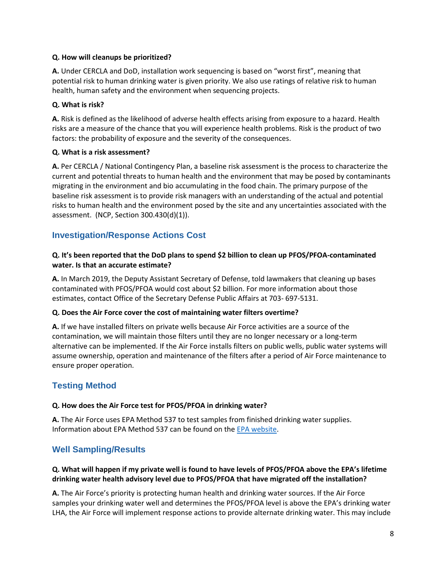## **Q. How will cleanups be prioritized?**

**A.** Under CERCLA and DoD, installation work sequencing is based on "worst first", meaning that potential risk to human drinking water is given priority. We also use ratings of relative risk to human health, human safety and the environment when sequencing projects.

## <span id="page-7-0"></span>**Q. What is risk?**

**A.** Risk is defined as the likelihood of adverse health effects arising from exposure to a hazard. Health risks are a measure of the chance that you will experience health problems. Risk is the product of two factors: the probability of exposure and the severity of the consequences.

## <span id="page-7-1"></span>**Q. What is a risk assessment?**

**A.** Per CERCLA / National Contingency Plan, a baseline risk assessment is the process to characterize the current and potential threats to human health and the environment that may be posed by contaminants migrating in the environment and bio accumulating in the food chain. The primary purpose of the baseline risk assessment is to provide risk managers with an understanding of the actual and potential risks to human health and the environment posed by the site and any uncertainties associated with the assessment. (NCP, Section 300.430(d)(1)).

## <span id="page-7-2"></span>**Investigation/Response Actions Cost**

## <span id="page-7-3"></span>**Q. It's been reported that the DoD plans to spend \$2 billion to clean up PFOS/PFOA-contaminated water. Is that an accurate estimate?**

**A.** In March 2019, the Deputy Assistant Secretary of Defense, told lawmakers that cleaning up bases contaminated with PFOS/PFOA would cost about \$2 billion. For more information about those estimates, contact Office of the Secretary Defense Public Affairs at 703- 697-5131.

#### <span id="page-7-4"></span>**Q. Does the Air Force cover the cost of maintaining water filters overtime?**

**A.** If we have installed filters on private wells because Air Force activities are a source of the contamination, we will maintain those filters until they are no longer necessary or a long-term alternative can be implemented. If the Air Force installs filters on public wells, public water systems will assume ownership, operation and maintenance of the filters after a period of Air Force maintenance to ensure proper operation.

## <span id="page-7-5"></span>**Testing Method**

#### <span id="page-7-6"></span>**Q. How does the Air Force test for PFOS/PFOA in drinking water?**

**A.** The Air Force uses EPA Method 537 to test samples from finished drinking water supplies. Information about EPA Method 537 can be found on th[e EPA website.](https://www.epa.gov/water-research/epa-drinking-water-research-methods)

## <span id="page-7-7"></span>**Well Sampling/Results**

## <span id="page-7-8"></span>**Q. What will happen if my private well is found to have levels of PFOS/PFOA above the EPA's lifetime drinking water health advisory level due to PFOS/PFOA that have migrated off the installation?**

**A.** The Air Force's priority is protecting human health and drinking water sources. If the Air Force samples your drinking water well and determines the PFOS/PFOA level is above the EPA's drinking water LHA, the Air Force will implement response actions to provide alternate drinking water. This may include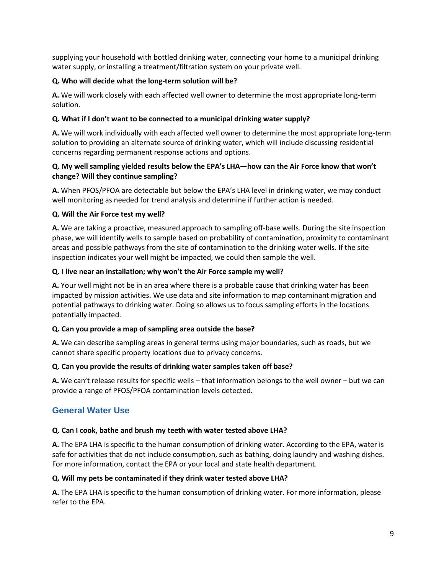supplying your household with bottled drinking water, connecting your home to a municipal drinking water supply, or installing a treatment/filtration system on your private well.

## <span id="page-8-0"></span>**Q. Who will decide what the long-term solution will be?**

**A.** We will work closely with each affected well owner to determine the most appropriate long-term solution.

## <span id="page-8-1"></span>**Q. What if I don't want to be connected to a municipal drinking water supply?**

**A.** We will work individually with each affected well owner to determine the most appropriate long-term solution to providing an alternate source of drinking water, which will include discussing residential concerns regarding permanent response actions and options.

## <span id="page-8-2"></span>**Q. My well sampling yielded results below the EPA's LHA—how can the Air Force know that won't change? Will they continue sampling?**

**A.** When PFOS/PFOA are detectable but below the EPA's LHA level in drinking water, we may conduct well monitoring as needed for trend analysis and determine if further action is needed.

## <span id="page-8-3"></span>**Q. Will the Air Force test my well?**

**A.** We are taking a proactive, measured approach to sampling off-base wells. During the site inspection phase, we will identify wells to sample based on probability of contamination, proximity to contaminant areas and possible pathways from the site of contamination to the drinking water wells. If the site inspection indicates your well might be impacted, we could then sample the well.

## <span id="page-8-4"></span>**Q. I live near an installation; why won't the Air Force sample my well?**

**A.** Your well might not be in an area where there is a probable cause that drinking water has been impacted by mission activities. We use data and site information to map contaminant migration and potential pathways to drinking water. Doing so allows us to focus sampling efforts in the locations potentially impacted.

## <span id="page-8-5"></span>**Q. Can you provide a map of sampling area outside the base?**

**A.** We can describe sampling areas in general terms using major boundaries, such as roads, but we cannot share specific property locations due to privacy concerns.

#### <span id="page-8-6"></span>**Q. Can you provide the results of drinking water samples taken off base?**

**A.** We can't release results for specific wells – that information belongs to the well owner – but we can provide a range of PFOS/PFOA contamination levels detected.

## <span id="page-8-7"></span>**General Water Use**

## <span id="page-8-8"></span>**Q. Can I cook, bathe and brush my teeth with water tested above LHA?**

**A.** The EPA LHA is specific to the human consumption of drinking water. According to the EPA, water is safe for activities that do not include consumption, such as bathing, doing laundry and washing dishes. For more information, contact the EPA or your local and state health department.

#### <span id="page-8-9"></span>**Q. Will my pets be contaminated if they drink water tested above LHA?**

<span id="page-8-10"></span>**A.** The EPA LHA is specific to the human consumption of drinking water. For more information, please refer to the EPA.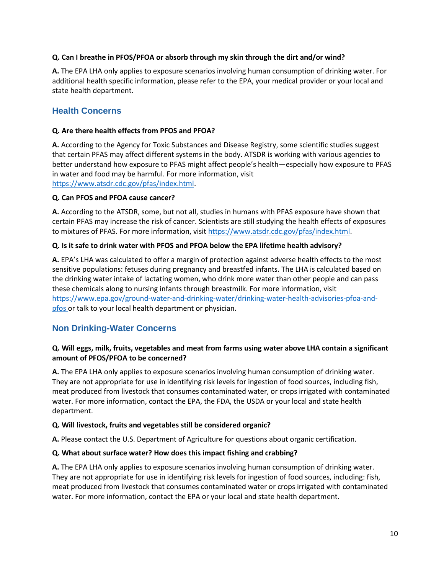## **Q. Can I breathe in PFOS/PFOA or absorb through my skin through the dirt and/or wind?**

**A.** The EPA LHA only applies to exposure scenarios involving human consumption of drinking water. For additional health specific information, please refer to the EPA, your medical provider or your local and state health department.

## <span id="page-9-0"></span>**Health Concerns**

## <span id="page-9-1"></span>**Q. Are there health effects from PFOS and PFOA?**

**A.** According to the Agency for Toxic Substances and Disease Registry, some scientific studies suggest that certain PFAS may affect different systems in the body. ATSDR is working with various agencies to better understand how exposure to PFAS might affect people's health—especially how exposure to PFAS in water and food may be harmful. For more information, visit [https://www.atsdr.cdc.gov/pfas/index.html.](https://www.atsdr.cdc.gov/pfas/index.html)

#### <span id="page-9-2"></span>**Q. Can PFOS and PFOA cause cancer?**

**A.** According to the ATSDR, some, but not all, studies in humans with PFAS exposure have shown that certain PFAS may increase the risk of cancer. Scientists are still studying the health effects of exposures to mixtures of PFAS. For more information, visit [https://www.atsdr.cdc.gov/pfas/index.html.](https://www.atsdr.cdc.gov/pfas/index.html)

## <span id="page-9-3"></span>**Q. Is it safe to drink water with PFOS and PFOA below the EPA lifetime health advisory?**

**A.** EPA's LHA was calculated to offer a margin of protection against adverse health effects to the most sensitive populations: fetuses during pregnancy and breastfed infants. The LHA is calculated based on the drinking water intake of lactating women, who drink more water than other people and can pass these chemicals along to nursing infants through breastmilk. For more information, visit [https://www.epa.gov/ground-water-and-drinking-water/drinking-water-health-advisories-pfoa-and](https://www.epa.gov/ground-water-and-drinking-water/drinking-water-health-advisories-pfoa-and-pfos)[pfos o](https://www.epa.gov/ground-water-and-drinking-water/drinking-water-health-advisories-pfoa-and-pfos)r talk to your local health department or physician.

## <span id="page-9-4"></span>**Non Drinking-Water Concerns**

## <span id="page-9-5"></span>**Q. Will eggs, milk, fruits, vegetables and meat from farms using water above LHA contain a significant amount of PFOS/PFOA to be concerned?**

**A.** The EPA LHA only applies to exposure scenarios involving human consumption of drinking water. They are not appropriate for use in identifying risk levels for ingestion of food sources, including fish, meat produced from livestock that consumes contaminated water, or crops irrigated with contaminated water. For more information, contact the EPA, the FDA, the USDA or your local and state health department.

#### <span id="page-9-6"></span>**Q. Will livestock, fruits and vegetables still be considered organic?**

**A.** Please contact the U.S. Department of Agriculture for questions about organic certification.

## <span id="page-9-7"></span>**Q. What about surface water? How does this impact fishing and crabbing?**

<span id="page-9-8"></span>**A.** The EPA LHA only applies to exposure scenarios involving human consumption of drinking water. They are not appropriate for use in identifying risk levels for ingestion of food sources, including: fish, meat produced from livestock that consumes contaminated water or crops irrigated with contaminated water. For more information, contact the EPA or your local and state health department.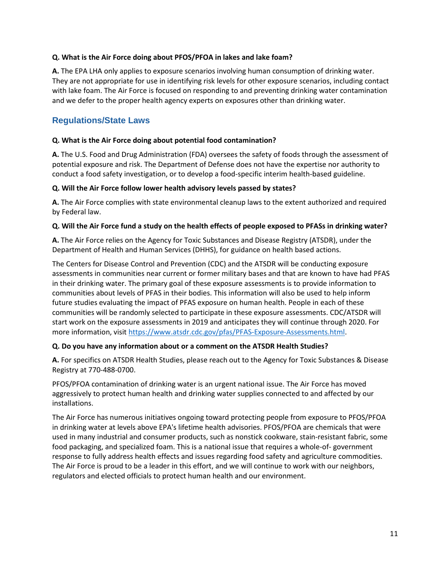## **Q. What is the Air Force doing about PFOS/PFOA in lakes and lake foam?**

**A.** The EPA LHA only applies to exposure scenarios involving human consumption of drinking water. They are not appropriate for use in identifying risk levels for other exposure scenarios, including contact with lake foam. The Air Force is focused on responding to and preventing drinking water contamination and we defer to the proper health agency experts on exposures other than drinking water.

## <span id="page-10-0"></span>**Regulations/State Laws**

## <span id="page-10-1"></span>**Q. What is the Air Force doing about potential food contamination?**

**A.** The U.S. Food and Drug Administration (FDA) oversees the safety of foods through the assessment of potential exposure and risk. The Department of Defense does not have the expertise nor authority to conduct a food safety investigation, or to develop a food-specific interim health-based guideline.

## <span id="page-10-2"></span>**Q. Will the Air Force follow lower health advisory levels passed by states?**

**A.** The Air Force complies with state environmental cleanup laws to the extent authorized and required by Federal law.

## <span id="page-10-3"></span>**Q. Will the Air Force fund a study on the health effects of people exposed to PFASs in drinking water?**

**A.** The Air Force relies on the Agency for Toxic Substances and Disease Registry (ATSDR), under the Department of Health and Human Services (DHHS), for guidance on health based actions.

The Centers for Disease Control and Prevention (CDC) and the ATSDR will be conducting exposure assessments in communities near current or former military bases and that are known to have had PFAS in their drinking water. The primary goal of these exposure assessments is to provide information to communities about levels of PFAS in their bodies. This information will also be used to help inform future studies evaluating the impact of PFAS exposure on human health. People in each of these communities will be randomly selected to participate in these exposure assessments. CDC/ATSDR will start work on the exposure assessments in 2019 and anticipates they will continue through 2020. For more information, visit [https://www.atsdr.cdc.gov/pfas/PFAS-Exposure-Assessments.html.](https://www.atsdr.cdc.gov/pfas/PFAS-Exposure-Assessments.html)

#### <span id="page-10-4"></span>**Q. Do you have any information about or a comment on the ATSDR Health Studies?**

**A.** For specifics on ATSDR Health Studies, please reach out to the Agency for Toxic Substances & Disease Registry at 770-488-0700.

PFOS/PFOA contamination of drinking water is an urgent national issue. The Air Force has moved aggressively to protect human health and drinking water supplies connected to and affected by our installations.

<span id="page-10-5"></span>The Air Force has numerous initiatives ongoing toward protecting people from exposure to PFOS/PFOA in drinking water at levels above EPA's lifetime health advisories. PFOS/PFOA are chemicals that were used in many industrial and consumer products, such as nonstick cookware, stain-resistant fabric, some food packaging, and specialized foam. This is a national issue that requires a whole-of- government response to fully address health effects and issues regarding food safety and agriculture commodities. The Air Force is proud to be a leader in this effort, and we will continue to work with our neighbors, regulators and elected officials to protect human health and our environment.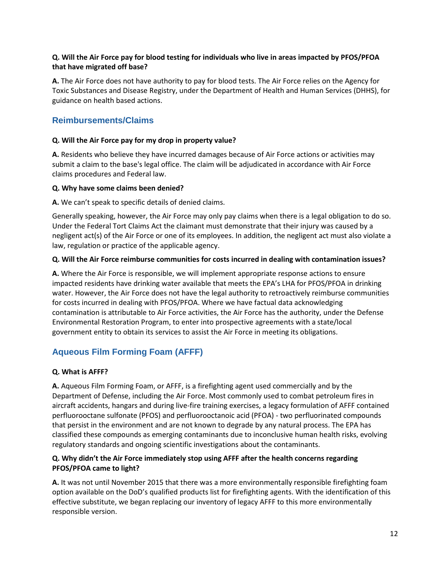## **Q. Will the Air Force pay for blood testing for individuals who live in areas impacted by PFOS/PFOA that have migrated off base?**

**A.** The Air Force does not have authority to pay for blood tests. The Air Force relies on the Agency for Toxic Substances and Disease Registry, under the Department of Health and Human Services (DHHS), for guidance on health based actions.

## <span id="page-11-0"></span>**Reimbursements/Claims**

## <span id="page-11-1"></span>**Q. Will the Air Force pay for my drop in property value?**

**A.** Residents who believe they have incurred damages because of Air Force actions or activities may submit a claim to the base's legal office. The claim will be adjudicated in accordance with Air Force claims procedures and Federal law.

## <span id="page-11-2"></span>**Q. Why have some claims been denied?**

**A.** We can't speak to specific details of denied claims.

Generally speaking, however, the Air Force may only pay claims when there is a legal obligation to do so. Under the Federal Tort Claims Act the claimant must demonstrate that their injury was caused by a negligent act(s) of the Air Force or one of its employees. In addition, the negligent act must also violate a law, regulation or practice of the applicable agency.

## <span id="page-11-3"></span>**Q. Will the Air Force reimburse communities for costs incurred in dealing with contamination issues?**

**A.** Where the Air Force is responsible, we will implement appropriate response actions to ensure impacted residents have drinking water available that meets the EPA's LHA for PFOS/PFOA in drinking water. However, the Air Force does not have the legal authority to retroactively reimburse communities for costs incurred in dealing with PFOS/PFOA. Where we have factual data acknowledging contamination is attributable to Air Force activities, the Air Force has the authority, under the Defense Environmental Restoration Program, to enter into prospective agreements with a state/local government entity to obtain its services to assist the Air Force in meeting its obligations.

## <span id="page-11-4"></span>**Aqueous Film Forming Foam (AFFF)**

## <span id="page-11-5"></span>**Q. What is AFFF?**

**A.** Aqueous Film Forming Foam, or AFFF, is a firefighting agent used commercially and by the Department of Defense, including the Air Force. Most commonly used to combat petroleum fires in aircraft accidents, hangars and during live-fire training exercises, a legacy formulation of AFFF contained perfluorooctane sulfonate (PFOS) and perfluorooctanoic acid (PFOA) - two perfluorinated compounds that persist in the environment and are not known to degrade by any natural process. The EPA has classified these compounds as emerging contaminants due to inconclusive human health risks, evolving regulatory standards and ongoing scientific investigations about the contaminants.

## <span id="page-11-6"></span>**Q. Why didn't the Air Force immediately stop using AFFF after the health concerns regarding PFOS/PFOA came to light?**

**A.** It was not until November 2015 that there was a more environmentally responsible firefighting foam option available on the DoD's qualified products list for firefighting agents. With the identification of this effective substitute, we began replacing our inventory of legacy AFFF to this more environmentally responsible version.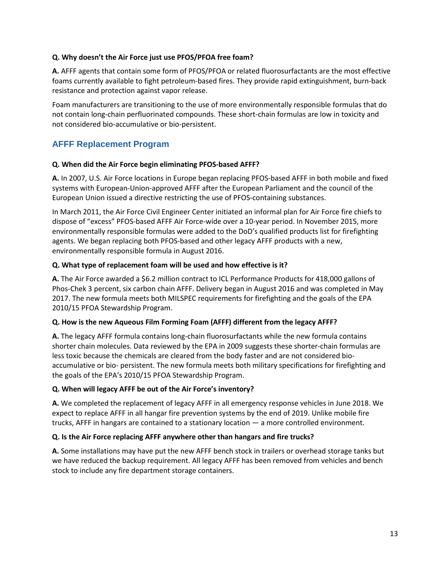## <span id="page-12-0"></span>**Q. Why doesn't the Air Force just use PFOS/PFOA free foam?**

**A.** AFFF agents that contain some form of PFOS/PFOA or related fluorosurfactants are the most effective foams currently available to fight petroleum-based fires. They provide rapid extinguishment, burn-back resistance and protection against vapor release.

Foam manufacturers are transitioning to the use of more environmentally responsible formulas that do not contain long-chain perfluorinated compounds. These short-chain formulas are low in toxicity and not considered bio-accumulative or bio-persistent.

## <span id="page-12-1"></span>**AFFF Replacement Program**

#### <span id="page-12-2"></span>**Q. When did the Air Force begin eliminating PFOS-based AFFF?**

**A.** In 2007, U.S. Air Force locations in Europe began replacing PFOS-based AFFF in both mobile and fixed systems with European-Union-approved AFFF after the European Parliament and the council of the European Union issued a directive restricting the use of PFOS-containing substances.

In March 2011, the Air Force Civil Engineer Center initiated an informal plan for Air Force fire chiefs to dispose of "excess" PFOS-based AFFF Air Force-wide over a 10-year period. In November 2015, more environmentally responsible formulas were added to the DoD's qualified products list for firefighting agents. We began replacing both PFOS-based and other legacy AFFF products with a new, environmentally responsible formula in August 2016.

## <span id="page-12-3"></span>**Q. What type of replacement foam will be used and how effective is it?**

**A.** The Air Force awarded a \$6.2 million contract to ICL Performance Products for 418,000 gallons of Phos-Chek 3 percent, six carbon chain AFFF. Delivery began in August 2016 and was completed in May 2017. The new formula meets both MILSPEC requirements for firefighting and the goals of the EPA 2010/15 PFOA Stewardship Program.

#### <span id="page-12-4"></span>**Q. How is the new Aqueous Film Forming Foam (AFFF) different from the legacy AFFF?**

**A.** The legacy AFFF formula contains long-chain fluorosurfactants while the new formula contains shorter chain molecules. Data reviewed by the EPA in 2009 suggests these shorter-chain formulas are less toxic because the chemicals are cleared from the body faster and are not considered bioaccumulative or bio- persistent. The new formula meets both military specifications for firefighting and the goals of the EPA's 2010/15 PFOA Stewardship Program.

#### <span id="page-12-5"></span>**Q. When will legacy AFFF be out of the Air Force's inventory?**

**A.** We completed the replacement of legacy AFFF in all emergency response vehicles in June 2018. We expect to replace AFFF in all hangar fire prevention systems by the end of 2019. Unlike mobile fire trucks, AFFF in hangars are contained to a stationary location — a more controlled environment.

#### <span id="page-12-6"></span>**Q. Is the Air Force replacing AFFF anywhere other than hangars and fire trucks?**

<span id="page-12-7"></span>**A.** Some installations may have put the new AFFF bench stock in trailers or overhead storage tanks but we have reduced the backup requirement. All legacy AFFF has been removed from vehicles and bench stock to include any fire department storage containers.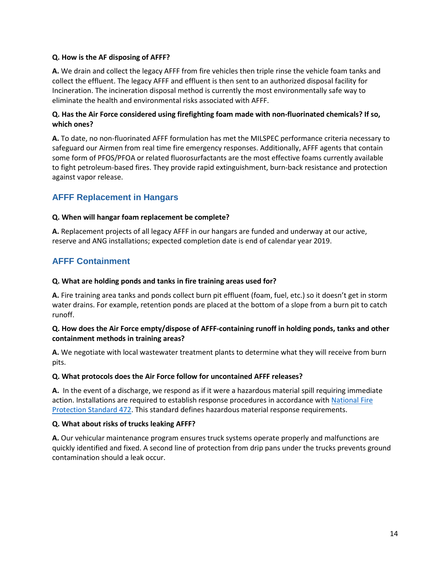## **Q. How is the AF disposing of AFFF?**

**A.** We drain and collect the legacy AFFF from fire vehicles then triple rinse the vehicle foam tanks and collect the effluent. The legacy AFFF and effluent is then sent to an authorized disposal facility for Incineration. The incineration disposal method is currently the most environmentally safe way to eliminate the health and environmental risks associated with AFFF.

## <span id="page-13-0"></span>**Q. Has the Air Force considered using firefighting foam made with non-fluorinated chemicals? If so, which ones?**

**A.** To date, no non-fluorinated AFFF formulation has met the MILSPEC performance criteria necessary to safeguard our Airmen from real time fire emergency responses. Additionally, AFFF agents that contain some form of PFOS/PFOA or related fluorosurfactants are the most effective foams currently available to fight petroleum-based fires. They provide rapid extinguishment, burn-back resistance and protection against vapor release.

## <span id="page-13-1"></span>**AFFF Replacement in Hangars**

## <span id="page-13-2"></span>**Q. When will hangar foam replacement be complete?**

**A.** Replacement projects of all legacy AFFF in our hangars are funded and underway at our active, reserve and ANG installations; expected completion date is end of calendar year 2019.

## <span id="page-13-3"></span>**AFFF Containment**

## <span id="page-13-4"></span>**Q. What are holding ponds and tanks in fire training areas used for?**

**A.** Fire training area tanks and ponds collect burn pit effluent (foam, fuel, etc.) so it doesn't get in storm water drains. For example, retention ponds are placed at the bottom of a slope from a burn pit to catch runoff.

## <span id="page-13-5"></span>**Q. How does the Air Force empty/dispose of AFFF-containing runoff in holding ponds, tanks and other containment methods in training areas?**

**A.** We negotiate with local wastewater treatment plants to determine what they will receive from burn pits.

#### <span id="page-13-6"></span>**Q. What protocols does the Air Force follow for uncontained AFFF releases?**

**A.** In the event of a discharge, we respond as if it were a hazardous material spill requiring immediate action. Installations are required to establish response procedures in accordance with National Fire [Protection Standard 472.](https://www.nfpa.org/codes-and-standards/all-codes-and-standards/list-of-codes-and-standards/detail?code=472) This standard defines hazardous material response requirements.

#### <span id="page-13-7"></span>**Q. What about risks of trucks leaking AFFF?**

<span id="page-13-8"></span>**A.** Our vehicular maintenance program ensures truck systems operate properly and malfunctions are quickly identified and fixed. A second line of protection from drip pans under the trucks prevents ground contamination should a leak occur.